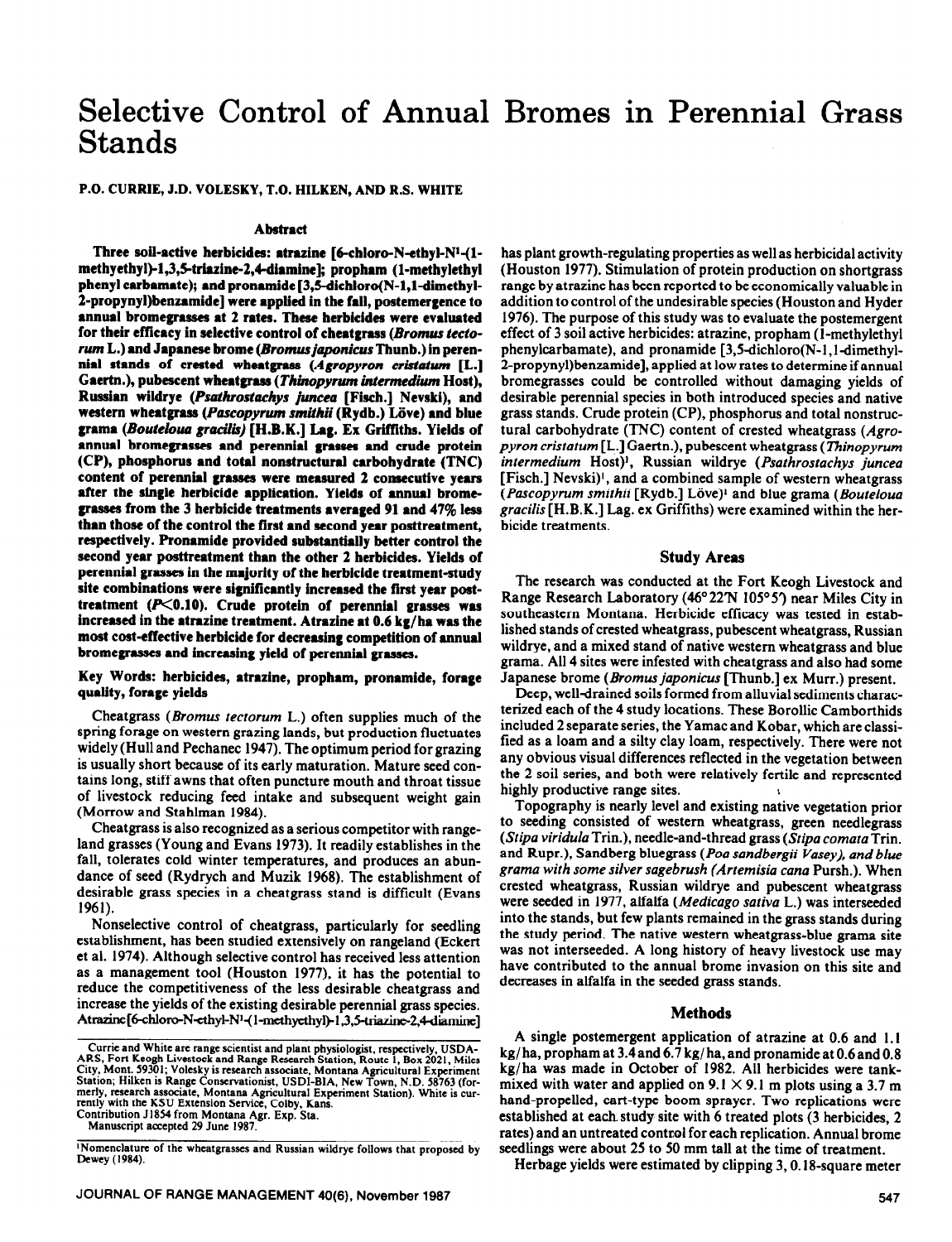# Selective Control of Annual Bromes in Perennial Grass Stands

**P.O. CURRIE, J.D. VOLESKY, T.O. HILKEN, AND R.S. WHITE** 

## **Abstract**

Three soil-active herbicides: atrazine [6-chloro-N-ethyl-N<sup>1</sup>-(1methyethyl)-1,3,5-triazine-2,4-diamine]; propham (1-methylethyl **phenyl carbamate); and pronamide [3,5\_dichloro(N-l,l-dimethyl-2-propynyl)benzamide] were applied in the** fall, **postemergence to**  annual bromegrasses at 2 rates. These herbicides were evaluated for their efficacy in selective control of cheatgrass (Bromus tecto*rum* **L.) and Japanese brome** *(Bromus japonicus* **Thunb.) in peren**nial stands of crested wheatgrass (Agropyron cristatum [L.] **Gaertn.), pubescent wheatgrass** *(Thinopyrum intermedium* **Host), Russian wildrye (Psathrostachys juncea [Fisch.] Nevski), and western wheatgrass (Pascopyrum smithii (Rydb.) Löve) and blue** grama (Bouteloua gracilis) [H.B.K.] Lag. Ex Griffiths. Yields of **annual bromegrasses and perennial grasses and crude protein (CP), phosphorus** and total nonstructural carbohydrate **(TNC) content of perennial grasses were measured 2 consecutfve years after the single herbicide application. Yields of annual bromcgrasses from the 3 herbicide treatments averaged 91 and 47% less than those of the control the first and second year posttreatment, respectively. Pronamide provided substantially better control the second year posttreatment than the other 2 herbicides. Yields of perennial grasses in the majority of the herbicide treatment-study site combinations were significantly increased the first year post**treatment (P<0.10). Crude protein of perennial grasses was increased in the atrazine treatment. Atrazine at 0.6 kg/ha was the **most cost-effective herbicide for decreasing competition of annual bromegrasses and increasing yield of perennial grasses.** 

## **Key Words: herbicides, atrazine, propham, pronamide, forage quality, fomge yields**

Cheatgrass (*Bromus tectorum L.*) often supplies much of the spring forage on western grazing lands, but production fluctuates widely (Hull and Pechanec 1947). The optimum period for grazing is usually short because of its early maturation. Mature seed contains long, stiff awns that often puncture mouth and throat tissue of livestock reducing feed intake and subsequent weight gain (Morrow and Stahhnan 1984).

Cheatgrass is also recognized as a serious competitor with rangeland grasses (Young and Evans 1973). It readily establishes in the fall, tolerates cold winter temperatures, and produces an abundance of seed (Rydrych and Muzik 1968). The establishment of desirable grass species in a cheatgrass stand is difficult (Evans 1961).

Nonselective control of cheatgrass, particularly for seedling establishment, has been studied extensively on rangeland (Eckert et al. 1974). Although selective control has received less attention as a management tool (Houston 1977), it has the potential to reduce the competitiveness of the less desirable cheatgrass and increase the yields of the existing desirable perennial grass species. Atrazine[6-chloro-N-ethyl-N<sup>1</sup>-(1-methyethyl)-1,3,5-triazine-2,4-diamine]

**Manuscript accepted 29 June 1987.** 

has plant growth-regulating properties as well as herbicidal activity (Houston 1977). Stimulation of protein production on shortgrass range by atrazine has been reported to be economically valuable in addition to control of the undesirable species (Houston and Hyder 1976). The purpose of this study was to evaluate the postemergent effect of 3 soil active herbicides: atrazine, propham (I-methylethyl phenylcarbamate), and pronamide  $[3,5\text{-dichloro(N-1,1-dimethyl-}$ 2-propynyl)benzamide], applied at low rates to determine if annual bromegrasses could be controlled without damaging yields of desirable perennial species in both introduced species and native grass stands. Crude protein (CP), phosphorus and total nonstructural carbohydrate (TNC) content of crested wheatgrass *(Agropyron cristatum* [L.] Gaertn.), pubescent wheatgrass *(Thinopyrum intermedium* Host)\*, Russian wildrye *(Psathrostachys juncea*  [Fisch.] Nevski)', and a combined sample of western wheatgrass *(Pascopyrum smirhii* [Rydb.] Love)' and blue grama *(Eouteloua gracilis* [H.B.K.] Lag. ex Griffiths) were examined within the herbicide treatments.

## **Study Areas**

**The** research was conducted at the Fort Keogh Livestock and Range Research Laboratory (46°22'N 105°5') near Miles City in southeastern Montana. Herbicide efficacy was tested in established stands of crested wheatgrass, pubescent wheatgrass, Russian wildrye, and a mixed stand of native western wheatgrass and blue grama. All 4 sites were infested with cheatgrass and also had some Japanese brome *(Bromusjaponicus* [Thunb.] ex Murr.) present.

Deep, well-drained soils formed from alluvial sediments characterized each of the 4 study locations. These Borollic Camborthids included 2 separate series, the Yamac and Kobar, which are classified as a loam and a silty clay loam, respectively. There were not any obvious visual differences reflected in the vegetation between the 2 soil series, and both were relatively fertile and represented highly productive range sites.

Topography is nearly level and existing naiive vegetation prior to seeding consisted of western wheatgrass, green needlegrass *(Stipa viridula* Trin.), needle-and-thread grass *(Stipa comata* Trin. and Rupr.), Sandberg bluegrass *(Poa sandbergii Vasey), and blue grama with some silver sagebrush (Artemisia cana* Pursh.). When crested wheatgrass, Russian wildrye and pubescent wheatgrass were seeded in 1977, alfalfa *(Medicago sativa* L.) was interseeded into the stands, but few plants remained in the grass stands during the study period. The native western wheatgrass-blue grama site was not interseeded. A long history of heavy livestock use may have contributed to the annual brome invasion on this site and decreases in alfalfa in the seeded grass stands.

#### **Methods**

A single postemergent application of atrazine at 0.6 and 1. I kg/ ha, propham at 3.4and 6.7 kg/ ha, and pronamide at 0.6and 0.8 kg/ha was made in October of 1982. All herbicides were tankmixed with water and applied on  $9.1 \times 9.1$  m plots using a 3.7 m hand-propelled, cart-type boom sprayer. Two replications were established at each study site with 6 treated plots (3 herbicides, 2 rates) and an untreated control for each replication. Annual brome seedlings were about 25 to 50 mm tall at the time of treatment.

Herbage yields were estimated by clipping 3, 0.18-square meter

**Curric and White are range scientist and plant physiologist, respectively, USDA-ARS, Fort Kcogh Livestock and Range Research Station, Route I, Box 2021, Miles City,, Mont. 59301; Volesky is research associate, Montana Agricultural Experiment**  Station; Hilken is Range Conservationist, USDI-BIA, New Town, N.D. 58763 (formerly, research associate, Montana Agricultural Experiment Station). White is cur**rently with the KSU Extension Service, Colby, Kans. Contribution J1854 from Montana Agr. Exp. Sta.** 

**lNomcnclaturc of the wheatgrasses and Russian wildrye follows that proposed by Dewey (1984).**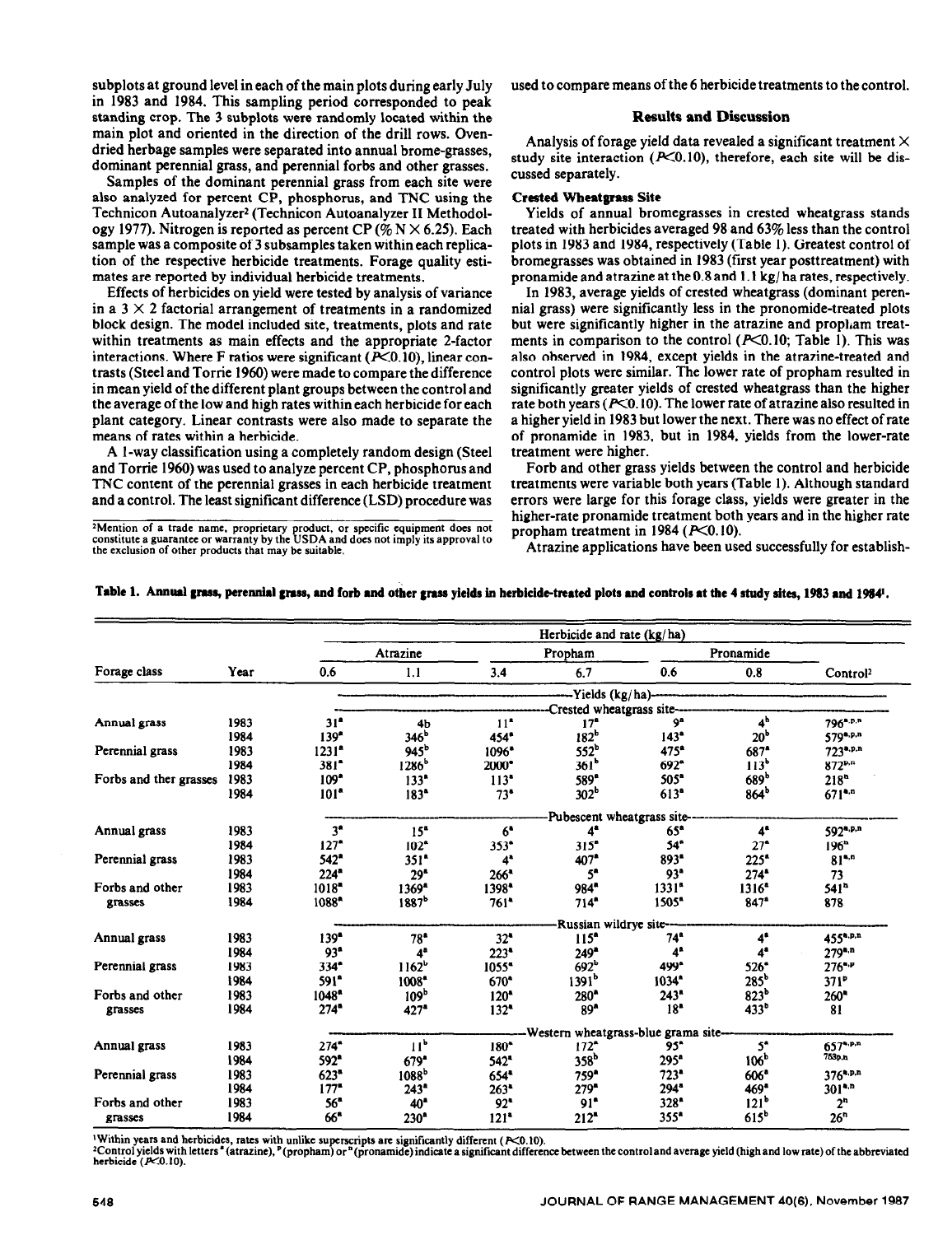subplots at ground level in each of the main plots during early July in 1983 and 1984. This sampling period corresponded to peak standing crop. The 3 subplots were randomly located within the main plot and oriented in the direction of the drill rows. Ovendried herbage samples were separated into annual brome-grasses, dominant perennial grass, and perennial forbs and other grasses.

Samples of the dominant perennial grass from each site were also analyzed for percent CP, phosphorus, and TNC using the Technicon Autoanalyzer<sup>2</sup> (Technicon Autoanalyzer II Methodology 1977). Nitrogen is reported as percent CP (%  $N \times 6.25$ ). Each sample was a composite of 3 subsamples taken within each replication of the respective herbicide treatments. Forage quality estimates are reported by individual herbicide treatments.

Effects of herbicides on yield were tested by analysis of variance in a  $3 \times 2$  factorial arrangement of treatments in a randomized block design. The model included site, treatments, plots and rate within treatments as main effects and the appropriate 2-factor interactions. Where F ratios were significant  $(X<sub>0.10</sub>)$ , linear contrasts (Steel and Torrie 1960) were made to compare the difference in mean yield of the different plant groups between the control and the average of the low and high rates within each herbicide for each plant category. Linear contrasts were also made to separate the means of rates within a herbicide.

A l-way classification using a completely random design (Steel and Torrie 1960) was used to analyze percent CP, phosphorus and TNC content of the perennial grasses in each herbicide treatment and a control. The least significant difference (LSD) procedure was

<sup>2</sup> Mention of a trade name, proprietary product, or specific equipment does not constitute a guarantee or warranty by the USDA and does not **the exclusion of other products that may be suitable.** 

used to compare means of the 6 herbicide treatments to the control.

## **Results and Discussion**

Analysis of forage yield data revealed a significant treatment  $\times$ study site interaction  $(X<sub>0.10</sub>)$ , therefore, each site will be discussed separately.

## Created **Wheatgrass Site**

Yields of annual bromegrasses in crested wheatgrass stands treated with herbicides averaged 98 and 63% less than the control plots in 1983 and 1984, respectively (Table 1). Greatest control of bromegrasses was obtained in 1983 (first year posttreatment) with pronamide and atrazine at the0.8 and 1 .l kg/ ha rates, respectively.

In 1983, average yields of crested wheatgrass (dominant perennial grass) were significantly less in the pronomide-treated plots but were significantly higher in the atrazine and propham treatments in comparison to the control  $(P<0.10;$  Table 1). This was also observed in 1984, except yields in the atrazine-treated and control plots were similar. The lower rate of propham resulted in significantly greater yields of crested wheatgrass than the higher rate both years ( $P<0.10$ ). The lower rate of atrazine also resulted in a higher yield in 1983 but lower the next. There was no effect of rate of pronamide in 1983, but in 1984, yields from the lower-rate treatment were higher.

Forb and other grass yields between the control and herbicide treatments were variable both years (Table 1). Although standard errors were large for this forage class, yields were greater in the higher-rate pronamide treatment both years and in the higher rate propham treatment in  $1984$  ( $P<0.10$ ).

Atrazine applications have been used successfully for establish-

|                            | Year | Herbicide and rate (kg/ha) |                                      |                    |                    |                    |                    |                      |  |  |  |
|----------------------------|------|----------------------------|--------------------------------------|--------------------|--------------------|--------------------|--------------------|----------------------|--|--|--|
| Forage class               |      | Atrazine                   |                                      | Propham            |                    | Pronamide          |                    |                      |  |  |  |
|                            |      | 0.6                        | 1.1                                  | 3.4                | 6.7                | 0.6                | 0.8                | Control <sup>2</sup> |  |  |  |
|                            |      |                            | -Yields (kg/ha)-                     |                    |                    |                    |                    |                      |  |  |  |
|                            |      |                            | Crested wheatgrass site-             |                    |                    |                    |                    |                      |  |  |  |
| Annual grass               | 1983 | 31 <sup>4</sup>            | 4 <sub>b</sub>                       | 11 <sup>2</sup>    | 17 <sup>°</sup>    | 9ª                 | 4 <sup>b</sup>     | 796 <sup>a,p,n</sup> |  |  |  |
|                            | 1984 | 139 <sup>th</sup>          | 346 <sup>b</sup>                     | 454*               | 182 <sup>b</sup>   | $143^{\circ}$      | 20 <sup>b</sup>    | 579 <sup>a,p,n</sup> |  |  |  |
| Perennial grass            | 1983 | $1231$ <sup>*</sup>        | $945^b$                              | $1096^*$           | 552 <sup>b</sup>   | 475 <sup>*</sup>   | 687 <sup>*</sup>   | $723^{a.p.n}$        |  |  |  |
|                            | 1984 | $381$ <sup>*</sup>         | $1286^b$                             | 2000*              | 361 <sup>b</sup>   | $692^*$            | 113 <sup>b</sup>   | $872^{p,n}$          |  |  |  |
| Forbs and ther grasses     | 1983 | 109 <sup>o</sup>           | 133 <sup>4</sup>                     | 113 <sup>2</sup>   | 589 <sup>e</sup>   | 505 <sup>*</sup>   | 689 <sup>b</sup>   | 218 <sup>n</sup>     |  |  |  |
|                            | 1984 | 101 <sup>th</sup>          | 183 <sup>a</sup>                     | $73^*$             | 302 <sup>b</sup>   | $613^{\circ}$      | 864 <sup>b</sup>   | $671$ <sup>a.n</sup> |  |  |  |
|                            |      |                            | Pubescent wheatgrass site-           |                    |                    |                    |                    |                      |  |  |  |
| Annual grass               | 1983 | 3 <sup>n</sup>             | 15 <sup>a</sup>                      | 6 <sup>4</sup>     | $4^{\bullet}$      | 65*                | $4^{\circ}$        | 592*P.n              |  |  |  |
|                            | 1984 | 127 <sup>2</sup>           | 102 <sup>o</sup>                     | $353^{\circ}$      | 315 <sup>th</sup>  | $54^{\circ}$       | 27 <sup>o</sup>    | 196 <sup>n</sup>     |  |  |  |
| Perennial grass            | 1983 | 542"                       | $351$ <sup>*</sup>                   | 4 <sup>a</sup>     | 407 <sup>*</sup>   | $893$ <sup>*</sup> | $225^*$            | $81^{4,n}$           |  |  |  |
|                            | 1984 | $224$ <sup>*</sup>         | 29 <sup>o</sup>                      | 266"               | 5 <sup>n</sup>     | 93 <sup>e</sup>    | $274*$             | 73                   |  |  |  |
| Forbs and other<br>grasses | 1983 | $1018 -$                   | $1369^{\circ}$                       | 1398*              | 984*               | 1331 <sup>n</sup>  | $1316^4$           | 541 <sup>n</sup>     |  |  |  |
|                            | 1984 | 1088*                      | 1887 <sup>b</sup>                    | $761$ <sup>*</sup> | $714$ <sup>*</sup> | 1505*              | $847^*$            | 878                  |  |  |  |
|                            |      |                            | -Russian wildrye site--              |                    |                    |                    |                    |                      |  |  |  |
| Annual grass               | 1983 | 139 <sup>o</sup>           | $78^{\circ}$                         | 32"                | 115 <sup>n</sup>   | 74 <sup>°</sup>    | $4^{\circ}$        | 455 <sup>a,p,n</sup> |  |  |  |
|                            | 1984 | 93 <sup>n</sup>            | 4 <sup>a</sup>                       | 223"               | 249"               | $4^{\circ}$        | $4^{\circ}$        | $279^{4,n}$          |  |  |  |
| Perennial grass            | 1983 | 334 <sup>o</sup>           | 1162 <sup>b</sup>                    | 1055*              | 692 <sup>b</sup>   | 499°               | $526$ <sup>*</sup> | $276^{4.9}$          |  |  |  |
|                            | 1984 | 591 <sup>*</sup>           | 1008*                                | 670 <sup>4</sup>   | 1391 <sup>b</sup>  | 1034"              | $285^b$            | $371^{\circ}$        |  |  |  |
| Forbs and other            | 1983 | 1048"                      | 109 <sup>b</sup>                     | $120^*$            | 280*               | 243"               | 823 <sup>b</sup>   | $260^{\circ}$        |  |  |  |
| grasses                    | 1984 | 274"                       | 427 <sup>°</sup>                     | $132^*$            | 89 <sup>2</sup>    | 18 <sup>2</sup>    | 433 <sup>b</sup>   | 81                   |  |  |  |
|                            |      |                            | -Western wheatgrass-blue grama site- |                    |                    |                    |                    |                      |  |  |  |
| Annual grass               | 1983 | 274"                       | 11 <sup>b</sup>                      | 180*               | $172^*$            | 95"                | $5^{\circ}$        | $657^{\text{a.p.n}}$ |  |  |  |
|                            | 1984 | 592 <sup>*</sup>           | $679^{\circ}$                        | 542*               | 358 <sup>b</sup>   | 295 <sup>a</sup>   | 106 <sup>b</sup>   | 753p.n               |  |  |  |
| Perennial grass            | 1983 | 623"                       | 1088 <sup>b</sup>                    | $654$ *            | 759*               | $723^{\circ}$      | 606"               | $376^{4. p,n}$       |  |  |  |
|                            | 1984 | $177 -$                    | 243 <sup>4</sup>                     | $263*$             | $279 -$            | 294*               | 469 <sup>*</sup>   | $301^{4,n}$          |  |  |  |
| Forbs and other<br>grasses | 1983 | 56"                        | 40 <sup>4</sup>                      | 92"                | 91 <sup>2</sup>    | 328*               | 121 <sup>b</sup>   | 2 <sup>n</sup>       |  |  |  |
|                            | 1984 | 66"                        | 230 <sup>°</sup>                     | $121$ <sup>*</sup> | $212^{\circ}$      | $355*$             | 615 <sup>b</sup>   | 26 <sup>n</sup>      |  |  |  |

<sup>1</sup>Within years and herbicides, rates with unlike superscripts are significantly different ( $K$ 0.10).

<sup>2</sup>Control yields with letters <sup>\*</sup> (atrazine), <sup>p</sup>(propham) or <sup>n</sup>(pronamide) indicate a significant difference between the control and average yield (high and low rate) of the abbreviated **herbicide (p<O.IO).**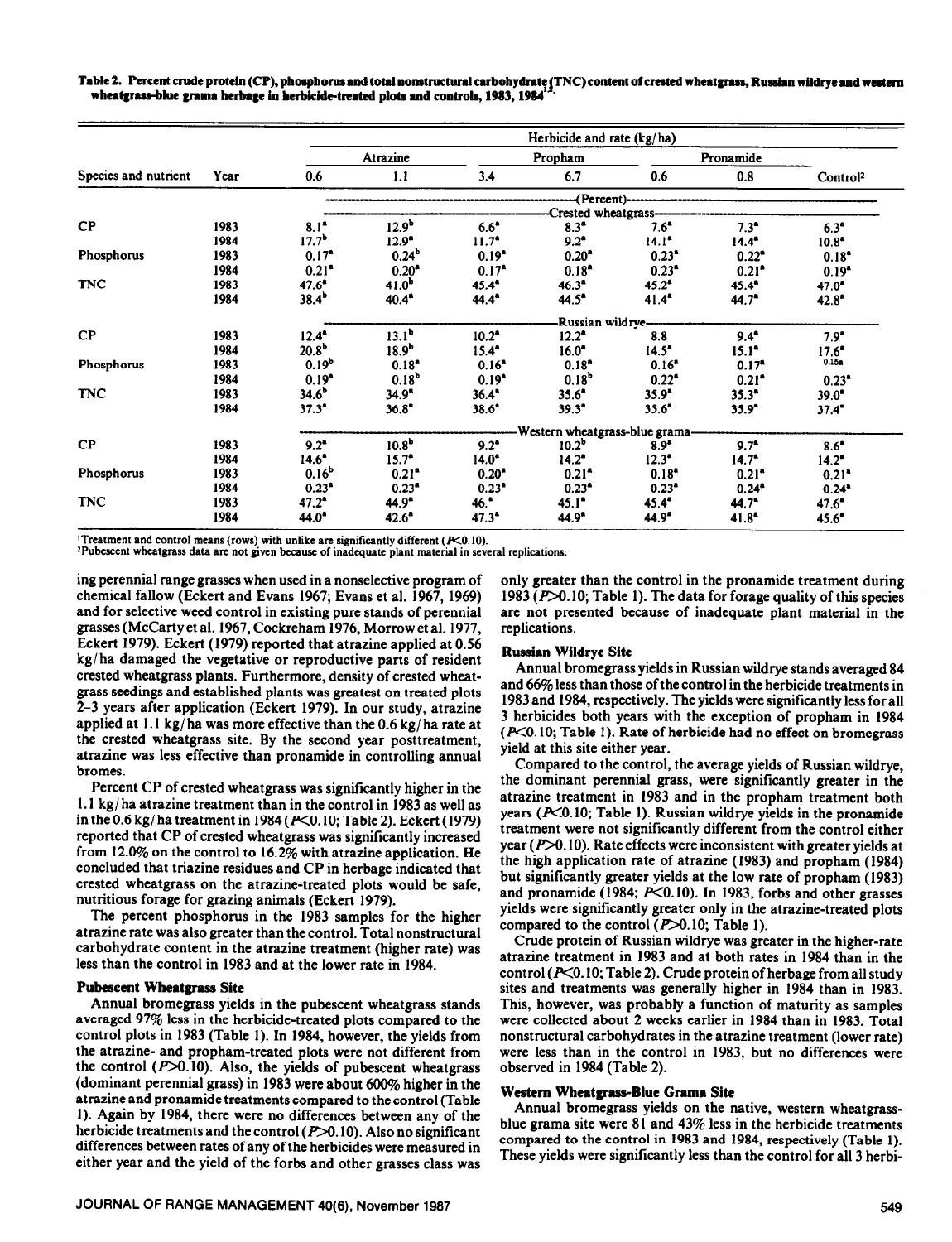Table 2. Percent crude protein (CP), phosphorus and total nonstructural carbohydrate (TNC) content of crested wheatgrass, Russian wildrye and western wheatgrass-blue grama herbage in herbicide-treated plots and controls, 1983, 1984

| Species and nutrient | Year | Herbicide and rate (kg/ha)     |                     |                   |                     |                   |                     |                      |  |  |  |
|----------------------|------|--------------------------------|---------------------|-------------------|---------------------|-------------------|---------------------|----------------------|--|--|--|
|                      |      | Atrazine                       |                     | Propham           |                     | Pronamide         |                     |                      |  |  |  |
|                      |      | 0.6                            | 1.1                 | 3.4               | 6.7                 | 0.6               | 0.8                 | Control <sup>2</sup> |  |  |  |
|                      |      | -(Percent)-                    |                     |                   |                     |                   |                     |                      |  |  |  |
|                      |      |                                |                     |                   |                     |                   |                     |                      |  |  |  |
| CP                   | 1983 | $8.1^{\circ}$                  | 12.9 <sup>b</sup>   | $6.6^{\circ}$     | 8.3 <sup>a</sup>    | $7.6^{\circ}$     | $7.3^*$             | $6.3^{\circ}$        |  |  |  |
|                      | 1984 | 17.7 <sup>b</sup>              | $12.9^{\circ}$      | $11.7^*$          | $9.2^*$             | $14.1^*$          | $14.4^*$            | $10.8^*$             |  |  |  |
| Phosphorus           | 1983 | $0.17^*$                       | 0.24 <sup>b</sup>   | 0.19 <sup>2</sup> | $0.20^{\bullet}$    | $0.23^*$          | $0.22^*$            | $0.18^*$             |  |  |  |
|                      | 1984 | $0.21$ <sup>*</sup>            | $0.20^{\circ}$      | 0.17 <sup>4</sup> | $0.18^*$            | $0.23*$           | $0.21$ <sup>*</sup> | $0.19*$              |  |  |  |
| <b>TNC</b>           | 1983 | $47.6^*$                       | $41.0^{b}$          | $45.4^*$          | $46.3^{\circ}$      | $45.2^*$          | $45.4^{\circ}$      | $47.0^*$             |  |  |  |
|                      | 1984 | $38.4^b$                       | 40.4 <sup>*</sup>   | $44.4^*$          | $44.5^*$            | $41.4^{\circ}$    | $44.7^{\circ}$      | $42.8^{\circ}$       |  |  |  |
|                      |      | Russian wildrye-               |                     |                   |                     |                   |                     |                      |  |  |  |
| $\bf CP$             | 1983 | $12.4^{\circ}$                 | 13.1 <sup>b</sup>   | $10.2^*$          | $12.2^*$            | 8.8               | $9.4^{\circ}$       | $7.9^{\circ}$        |  |  |  |
|                      | 1984 | $20.8^{b}$                     | 18.9 <sup>b</sup>   | $15.4^{\circ}$    | $16.0^{\circ}$      | $14.5^{\circ}$    | $15.1^*$            | $17.6^{\circ}$       |  |  |  |
| Phosphorus           | 1983 | 0.19 <sup>b</sup>              | $0.18*$             | $0.16^*$          | $0.18^*$            | 0.16 <sup>8</sup> | 0.17 <sup>4</sup>   | 0.15a                |  |  |  |
|                      | 1984 | 0.19 <sup>4</sup>              | $0.18^{b}$          | $0.19^{\circ}$    | 0.18 <sup>b</sup>   | $0.22^*$          | $0.21$ <sup>*</sup> | $0.23^*$             |  |  |  |
| <b>TNC</b>           | 1983 | $34.6^b$                       | $34.9^*$            | 36.4"             | $35.6^{\circ}$      | $35.9^{\circ}$    | $35.3^{\circ}$      | $39.0^{\circ}$       |  |  |  |
|                      | 1984 | $37.3^*$                       | $36.8^{\circ}$      | $38.6^*$          | $39.3^{\circ}$      | $35.6^*$          | $35.9^{\circ}$      | 37.4"                |  |  |  |
|                      |      | Western wheatgrass-blue grama- |                     |                   |                     |                   |                     |                      |  |  |  |
| CP                   | 1983 | $9.2^{\circ}$                  | 10.8 <sup>b</sup>   | $9.2^*$           | $10.2^{\circ}$      | $8.9*$            | $9.7^*$             | $8.6^{\circ}$        |  |  |  |
|                      | 1984 | $14.6^{\circ}$                 | $15.7^*$            | $14.0^*$          | $14.2^*$            | $12.3^*$          | $14.7^*$            | $14.2^*$             |  |  |  |
| Phosphorus           | 1983 | 0.16 <sup>b</sup>              | $0.21$ <sup>*</sup> | $0.20^*$          | $0.21$ <sup>*</sup> | $0.18^*$          | $0.21^*$            | $0.21^*$             |  |  |  |
|                      | 1984 | $0.23*$                        | $0.23$ <sup>*</sup> | 0.23"             | $0.23^*$            | $0.23^{\circ}$    | $0.24*$             | $0.24*$              |  |  |  |
| <b>TNC</b>           | 1983 | $47.2^{\circ}$                 | $44.9^*$            | 46.               | $45.1^{\circ}$      | $45.4^{\circ}$    | $44.7^{\circ}$      | $47.6^{\circ}$       |  |  |  |
|                      | 1984 | $44.0^{\circ}$                 | $42.6^*$            | $47.3^*$          | $44.9^{\circ}$      | $44.9^{\circ}$    | 41.8 <sup>4</sup>   | $45.6^*$             |  |  |  |

<sup>1</sup>Treatment and control means (rows) with unlike are significantly different (P<0.10).

**'Pubescent wheatgrass data arc not given because of inadequate plant material in several replications.** 

ing perennial range grasses when used in a nonselective program of chemical fallow (Eckert and Evans 1967; Evans et al. 1967, 1969) and for selective weed control in existing pure stands of perennial grasses (McCartyet al. 1967, Cockreham 1976, Morrow et al. 1977, **Eckert 1979).** Eckert (1979) reported that atrazine applied at 0.56 kg/ha damaged the vegetative or reproductive parts of resident crested wheatgrass plants. Furthermore, density of crested wheatgrass seedings and established plants was greatest on treated plots 2-3 years after application (Eckert 1979). In our study, atrazine applied at 1.1 kg/ha was more effective than the  $0.6$  kg/ha rate at the crested wheatgrass site. By the second year posttreatment, atrazine was less effective than pronamide in controlling annual bromes.

Percent CP of crested wheatgrass was significantly higher in the 1.1 kg/ ha atrazine treatment than in the control in 1983 as well as in the 0.6 kg/ha treatment in 1984 ( $P<0.10$ ; Table 2). Eckert (1979) reported that CP of crested wheatgrass was significantly increased from 12.0% on the control to 16.2% with atrazine application. He concluded that triazine residues and CP in herbage indicated that crested wheatgrass on the atrazine-treated plots would be safe, nutritious forage for grazing animals (Eckert 1979).

The percent phosphorus in the 1983 samples for the higher atrazine rate was also greater than the control. Total nonstructural carbohydrate content in the atrazine treatment (higher rate) was less than the control in 1983 and at the lower rate in 1984.

## **Pubescent Wheatgrass Site**

Annual bromegrass yields in the pubescent wheatgrass stands averaged 97% less in the herbicide-treated plots compared to the control plots in 1983 (Table 1). In 1984, however, the yields from the atrazine- and propham-treated plots were not different from the control  $(P>0.10)$ . Also, the yields of pubescent wheatgrass (dominant perennial grass) in 1983 were about 600% higher in the atrazine and pronamide treatments compared to the control (Table 1). Again by 1984, there were no differences between any of the herbicide treatments and the control  $(P>0.10)$ . Also no significant differences between rates of any of the herbicides were measured in either year and the yield of the forbs and other grasses class was

only greater than the control in the pronamide treatment during 1983 ( $P > 0.10$ ; Table 1). The data for forage quality of this species are not presented because of inadequate plant material in the replications.

## **Russian Wildrye Site**

Annual bromegrass yields in Russian wildrye stands averaged 84 and 66% less than those of the control in the herbicide treatments in 1983 and 1984, respectively. The yields were significantly less for all 3 herbicides both years with the exception of propham in 1984  $(P<0.10;$  Table 1). Rate of herbicide had no effect on bromegrass yield at this site either year.

Compared to the control, the average yields of Russian wildrye, the dominant perennial grass, were significantly greater in the atrazine treatment in 1983 and in the propham treatment both years  $(P<0.10;$  Table 1). Russian wildrye yields in the pronamide treatment were not significantly different from the control either year  $(P>0.10)$ . Rate effects were inconsistent with greater yields at the high application rate of atrazine (1983) and propham (1984) but significantly greater yields at the low rate of propham (1983) and pronamide (1984;  $P<0.10$ ). In 1983, forbs and other grasses yields were significantly greater only in the atrazine-treated plots compared to the control  $(P>0.10$ ; Table 1).

Crude protein of Russian wildrye was greater in the higher-rate atrazine treatment in 1983 and at both rates in 1984 than in the control ( $P<0.10$ ; Table 2). Crude protein of herbage from all study sites and treatments was generally higher in 1984 than in 1983. This, however, was probably a function of maturity as samples were collected about 2 weeks earlier in 1984 than in 1983. Total nonstructural carbohydrates in the atrazine treatment (lower rate) were less than in the control in 1983, but no differences were observed in 1984 (Table 2).

## **Western Wheatgrass-Blue Crama Site**

Annual bromegrass yields on the native, western wheatgrassblue grama site were 81 and 43% less in the herbicide treatments compared to the control in 1983 and 1984, respectively (Table 1). These yields were significantly less than the control for all 3 herbi